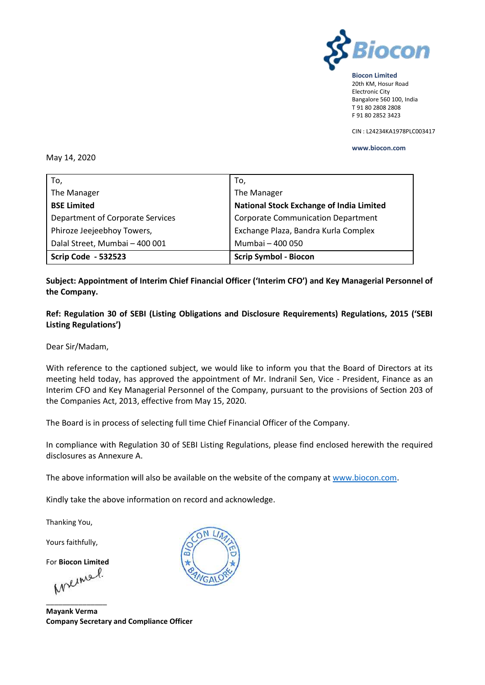

**Biocon Limited** 20th KM, Hosur Road Electronic City Bangalore 560 100, India T 91 80 2808 2808 F 91 80 2852 3423

CIN : L24234KA1978PLC003417

**www.biocon.com** 

#### May 14, 2020

| To,                                     | To,                                             |
|-----------------------------------------|-------------------------------------------------|
| The Manager                             | The Manager                                     |
| <b>BSE Limited</b>                      | <b>National Stock Exchange of India Limited</b> |
| <b>Department of Corporate Services</b> | <b>Corporate Communication Department</b>       |
| Phiroze Jeejeebhoy Towers,              | Exchange Plaza, Bandra Kurla Complex            |
| Dalal Street, Mumbai - 400 001          | Mumbai - 400 050                                |
| <b>Scrip Code - 532523</b>              | <b>Scrip Symbol - Biocon</b>                    |

# **Subject: Appointment of Interim Chief Financial Officer ('Interim CFO') and Key Managerial Personnel of the Company.**

**Ref: Regulation 30 of SEBI (Listing Obligations and Disclosure Requirements) Regulations, 2015 ('SEBI Listing Regulations')**

Dear Sir/Madam,

With reference to the captioned subject, we would like to inform you that the Board of Directors at its meeting held today, has approved the appointment of Mr. Indranil Sen, Vice - President, Finance as an Interim CFO and Key Managerial Personnel of the Company, pursuant to the provisions of Section 203 of the Companies Act, 2013, effective from May 15, 2020.

The Board is in process of selecting full time Chief Financial Officer of the Company.

In compliance with Regulation 30 of SEBI Listing Regulations, please find enclosed herewith the required disclosures as Annexure A.

The above information will also be available on the website of the company at [www.biocon.com.](http://www.biocon.com/)

Kindly take the above information on record and acknowledge.

Thanking You,

Yours faithfully,

For **Biocon Limited**

\_\_\_\_\_\_\_\_\_\_\_\_\_\_\_

**Mayank Verma Company Secretary and Compliance Officer**